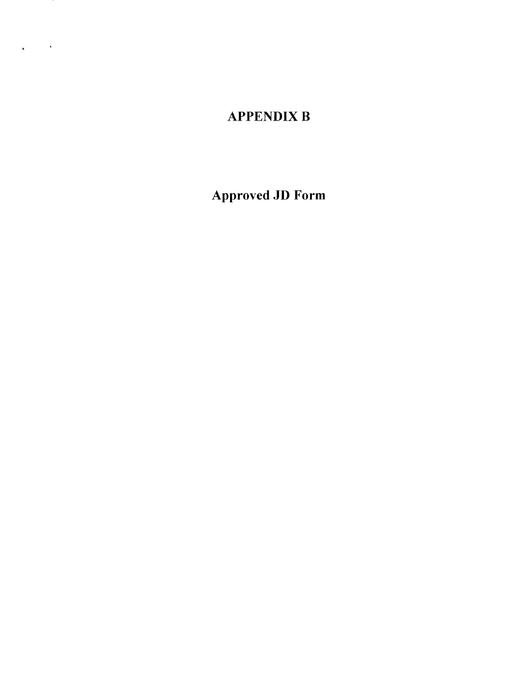# **APPENDIX B**

 $\mathbf{K}^{\text{max}}_{\text{max}}$  , where  $\mathbf{K}^{\text{max}}_{\text{max}}$ 

Approved JD Form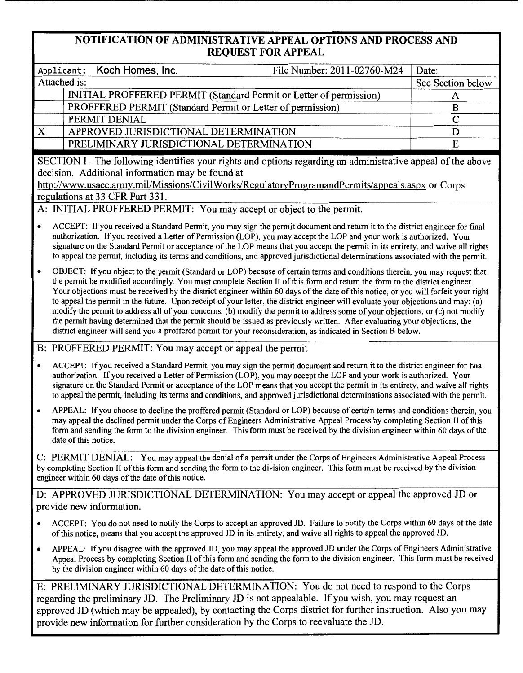## NOTIFICATION OF ADMINISTRATIVE APPEAL OPTIONS AND PROCESS AND REQUEST FOR APPEAL

|                                                                                                                                                                                                                                                                                                              |                                                                                                                                                                                                                                                                                                                                                                                                                                                                                                                                                                                                                                                                                                                                                                                                                                                                                                                         |                                                                                                                                                                                                                                                                                                                                                                                             | File Number: 2011-02760-M24 | Date:             |  |  |
|--------------------------------------------------------------------------------------------------------------------------------------------------------------------------------------------------------------------------------------------------------------------------------------------------------------|-------------------------------------------------------------------------------------------------------------------------------------------------------------------------------------------------------------------------------------------------------------------------------------------------------------------------------------------------------------------------------------------------------------------------------------------------------------------------------------------------------------------------------------------------------------------------------------------------------------------------------------------------------------------------------------------------------------------------------------------------------------------------------------------------------------------------------------------------------------------------------------------------------------------------|---------------------------------------------------------------------------------------------------------------------------------------------------------------------------------------------------------------------------------------------------------------------------------------------------------------------------------------------------------------------------------------------|-----------------------------|-------------------|--|--|
| Applicant:                                                                                                                                                                                                                                                                                                   |                                                                                                                                                                                                                                                                                                                                                                                                                                                                                                                                                                                                                                                                                                                                                                                                                                                                                                                         | Koch Homes, Inc.                                                                                                                                                                                                                                                                                                                                                                            |                             | See Section below |  |  |
|                                                                                                                                                                                                                                                                                                              | Attached is:<br>INITIAL PROFFERED PERMIT (Standard Permit or Letter of permission)                                                                                                                                                                                                                                                                                                                                                                                                                                                                                                                                                                                                                                                                                                                                                                                                                                      |                                                                                                                                                                                                                                                                                                                                                                                             |                             | A                 |  |  |
|                                                                                                                                                                                                                                                                                                              |                                                                                                                                                                                                                                                                                                                                                                                                                                                                                                                                                                                                                                                                                                                                                                                                                                                                                                                         | PROFFERED PERMIT (Standard Permit or Letter of permission)                                                                                                                                                                                                                                                                                                                                  |                             | $\bf{B}$          |  |  |
|                                                                                                                                                                                                                                                                                                              |                                                                                                                                                                                                                                                                                                                                                                                                                                                                                                                                                                                                                                                                                                                                                                                                                                                                                                                         | PERMIT DENIAL                                                                                                                                                                                                                                                                                                                                                                               |                             | $\overline{C}$    |  |  |
| $\mathbf{X}$                                                                                                                                                                                                                                                                                                 |                                                                                                                                                                                                                                                                                                                                                                                                                                                                                                                                                                                                                                                                                                                                                                                                                                                                                                                         | APPROVED JURISDICTIONAL DETERMINATION                                                                                                                                                                                                                                                                                                                                                       |                             | D                 |  |  |
|                                                                                                                                                                                                                                                                                                              |                                                                                                                                                                                                                                                                                                                                                                                                                                                                                                                                                                                                                                                                                                                                                                                                                                                                                                                         |                                                                                                                                                                                                                                                                                                                                                                                             |                             | E                 |  |  |
|                                                                                                                                                                                                                                                                                                              | PRELIMINARY JURISDICTIONAL DETERMINATION                                                                                                                                                                                                                                                                                                                                                                                                                                                                                                                                                                                                                                                                                                                                                                                                                                                                                |                                                                                                                                                                                                                                                                                                                                                                                             |                             |                   |  |  |
| SECTION I - The following identifies your rights and options regarding an administrative appeal of the above<br>decision. Additional information may be found at<br>http://www.usace.army.mil/Missions/CivilWorks/RegulatoryProgramandPermits/appeals.aspx or Corps<br>regulations at 33 CFR Part 331.       |                                                                                                                                                                                                                                                                                                                                                                                                                                                                                                                                                                                                                                                                                                                                                                                                                                                                                                                         |                                                                                                                                                                                                                                                                                                                                                                                             |                             |                   |  |  |
| A: INITIAL PROFFERED PERMIT: You may accept or object to the permit.                                                                                                                                                                                                                                         |                                                                                                                                                                                                                                                                                                                                                                                                                                                                                                                                                                                                                                                                                                                                                                                                                                                                                                                         |                                                                                                                                                                                                                                                                                                                                                                                             |                             |                   |  |  |
| $\bullet$                                                                                                                                                                                                                                                                                                    | ACCEPT: If you received a Standard Permit, you may sign the permit document and return it to the district engineer for final<br>authorization. If you received a Letter of Permission (LOP), you may accept the LOP and your work is authorized. Your<br>signature on the Standard Permit or acceptance of the LOP means that you accept the permit in its entirety, and waive all rights<br>to appeal the permit, including its terms and conditions, and approved jurisdictional determinations associated with the permit.                                                                                                                                                                                                                                                                                                                                                                                           |                                                                                                                                                                                                                                                                                                                                                                                             |                             |                   |  |  |
| $\bullet$                                                                                                                                                                                                                                                                                                    | OBJECT: If you object to the permit (Standard or LOP) because of certain terms and conditions therein, you may request that<br>the permit be modified accordingly. You must complete Section II of this form and return the form to the district engineer.<br>Your objections must be received by the district engineer within 60 days of the date of this notice, or you will forfeit your right<br>to appeal the permit in the future. Upon receipt of your letter, the district engineer will evaluate your objections and may: (a)<br>modify the permit to address all of your concerns, (b) modify the permit to address some of your objections, or (c) not modify<br>the permit having determined that the permit should be issued as previously written. After evaluating your objections, the<br>district engineer will send you a proffered permit for your reconsideration, as indicated in Section B below. |                                                                                                                                                                                                                                                                                                                                                                                             |                             |                   |  |  |
|                                                                                                                                                                                                                                                                                                              |                                                                                                                                                                                                                                                                                                                                                                                                                                                                                                                                                                                                                                                                                                                                                                                                                                                                                                                         | B: PROFFERED PERMIT: You may accept or appeal the permit                                                                                                                                                                                                                                                                                                                                    |                             |                   |  |  |
| $\bullet$                                                                                                                                                                                                                                                                                                    | ACCEPT: If you received a Standard Permit, you may sign the permit document and return it to the district engineer for final<br>authorization. If you received a Letter of Permission (LOP), you may accept the LOP and your work is authorized. Your<br>signature on the Standard Permit or acceptance of the LOP means that you accept the permit in its entirety, and waive all rights<br>to appeal the permit, including its terms and conditions, and approved jurisdictional determinations associated with the permit.                                                                                                                                                                                                                                                                                                                                                                                           |                                                                                                                                                                                                                                                                                                                                                                                             |                             |                   |  |  |
| $\bullet$                                                                                                                                                                                                                                                                                                    | date of this notice.                                                                                                                                                                                                                                                                                                                                                                                                                                                                                                                                                                                                                                                                                                                                                                                                                                                                                                    | APPEAL: If you choose to decline the proffered permit (Standard or LOP) because of certain terms and conditions therein, you<br>may appeal the declined permit under the Corps of Engineers Administrative Appeal Process by completing Section II of this<br>form and sending the form to the division engineer. This form must be received by the division engineer within 60 days of the |                             |                   |  |  |
| C: PERMIT DENIAL: You may appeal the denial of a permit under the Corps of Engineers Administrative Appeal Process<br>by completing Section II of this form and sending the form to the division engineer. This form must be received by the division<br>engineer within 60 days of the date of this notice. |                                                                                                                                                                                                                                                                                                                                                                                                                                                                                                                                                                                                                                                                                                                                                                                                                                                                                                                         |                                                                                                                                                                                                                                                                                                                                                                                             |                             |                   |  |  |
|                                                                                                                                                                                                                                                                                                              |                                                                                                                                                                                                                                                                                                                                                                                                                                                                                                                                                                                                                                                                                                                                                                                                                                                                                                                         | D: APPROVED JURISDICTIONAL DETERMINATION: You may accept or appeal the approved JD or                                                                                                                                                                                                                                                                                                       |                             |                   |  |  |
|                                                                                                                                                                                                                                                                                                              |                                                                                                                                                                                                                                                                                                                                                                                                                                                                                                                                                                                                                                                                                                                                                                                                                                                                                                                         | provide new information.                                                                                                                                                                                                                                                                                                                                                                    |                             |                   |  |  |
|                                                                                                                                                                                                                                                                                                              |                                                                                                                                                                                                                                                                                                                                                                                                                                                                                                                                                                                                                                                                                                                                                                                                                                                                                                                         | ACCEPT: You do not need to notify the Corps to accept an approved JD. Failure to notify the Corps within 60 days of the date<br>of this notice, means that you accept the approved JD in its entirety, and waive all rights to appeal the approved JD.                                                                                                                                      |                             |                   |  |  |
| ٠                                                                                                                                                                                                                                                                                                            |                                                                                                                                                                                                                                                                                                                                                                                                                                                                                                                                                                                                                                                                                                                                                                                                                                                                                                                         | APPEAL: If you disagree with the approved JD, you may appeal the approved JD under the Corps of Engineers Administrative<br>Appeal Process by completing Section II of this form and sending the form to the division engineer. This form must be received<br>by the division engineer within 60 days of the date of this notice.                                                           |                             |                   |  |  |
| E: PRELIMINARY JURISDICTIONAL DETERMINATION: You do not need to respond to the Corps                                                                                                                                                                                                                         |                                                                                                                                                                                                                                                                                                                                                                                                                                                                                                                                                                                                                                                                                                                                                                                                                                                                                                                         |                                                                                                                                                                                                                                                                                                                                                                                             |                             |                   |  |  |
|                                                                                                                                                                                                                                                                                                              |                                                                                                                                                                                                                                                                                                                                                                                                                                                                                                                                                                                                                                                                                                                                                                                                                                                                                                                         | $\frac{1}{2}$ ding the appliming $\frac{1}{2}$ The Preliming $\frac{1}{2}$ is not appealable. If you wish you may request an                                                                                                                                                                                                                                                                |                             |                   |  |  |

regarding the preliminary JD. The Preliminary JD is not appealable. If you wish, you may request an approved JD (which may be appealed), by contacting the Corps district for further instruction. Also you may provide new information for further consideration by the Corps to reevaluate the JD.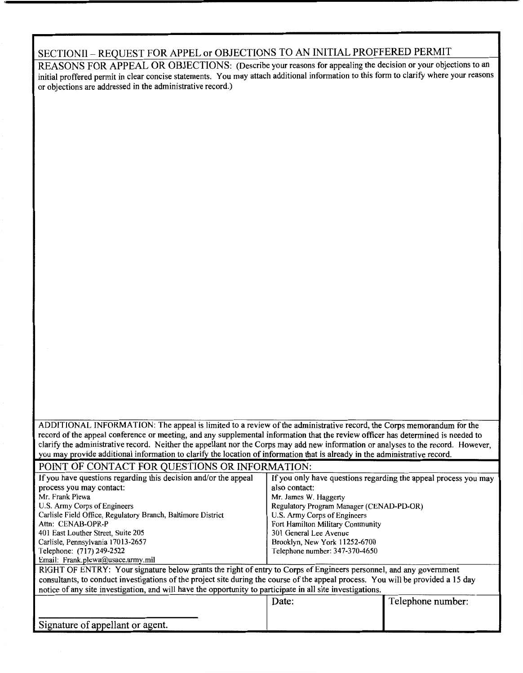## SECTIONII - REQUEST FOR APPEL or OBJECTIONS TO AN INITIAL PROFFERED PERMIT

REASONS FOR APPEAL OR OBJECTIONS: (Describe your reasons for appealing the decision or your objections to an initial proffered permit in clear concise statements. You may attach additional information to this form to clarify where your reasons or objections are addressed in the administrative record.)

ADDITIONAL INFORMATION: The appeal is limited to a review of the administrative record, the Corps memorandum for the record of the appeal conference or meeting, and any supplemental information that the review officer has determined is needed to clarify the administrative record. Neither the appellant nor the Corps may add new information or analyses to the record. However, you may provide additional information to clarify the location of information that is already in the administrative record.

## POINT OF CONTACT FOR QUESTIONS OR INFORMATION:

| If you have questions regarding this decision and/or the appeal                                                                   | If you only have questions regarding the appeal process you may |                   |  |  |  |
|-----------------------------------------------------------------------------------------------------------------------------------|-----------------------------------------------------------------|-------------------|--|--|--|
| process you may contact:                                                                                                          | also contact:                                                   |                   |  |  |  |
| Mr. Frank Plewa                                                                                                                   | Mr. James W. Haggerty                                           |                   |  |  |  |
| U.S. Army Corps of Engineers                                                                                                      | Regulatory Program Manager (CENAD-PD-OR)                        |                   |  |  |  |
| Carlisle Field Office, Regulatory Branch, Baltimore District                                                                      | U.S. Army Corps of Engineers                                    |                   |  |  |  |
| Attn: CENAB-OPR-P                                                                                                                 | Fort Hamilton Military Community                                |                   |  |  |  |
| 401 East Louther Street, Suite 205                                                                                                | 301 General Lee Avenue                                          |                   |  |  |  |
| Carlisle, Pennsylvania 17013-2657                                                                                                 | Brooklyn, New York 11252-6700                                   |                   |  |  |  |
| Telephone: (717) 249-2522                                                                                                         | Telephone number: 347-370-4650                                  |                   |  |  |  |
| Email: Frank.plewa@usace.army.mil                                                                                                 |                                                                 |                   |  |  |  |
| RIGHT OF ENTRY: Your signature below grants the right of entry to Corps of Engineers personnel, and any government                |                                                                 |                   |  |  |  |
| consultants, to conduct investigations of the project site during the course of the appeal process. You will be provided a 15 day |                                                                 |                   |  |  |  |
| notice of any site investigation, and will have the opportunity to participate in all site investigations.                        |                                                                 |                   |  |  |  |
|                                                                                                                                   | Date:                                                           | Telephone number: |  |  |  |
|                                                                                                                                   |                                                                 |                   |  |  |  |
|                                                                                                                                   |                                                                 |                   |  |  |  |
| Signature of appellant or agent.                                                                                                  |                                                                 |                   |  |  |  |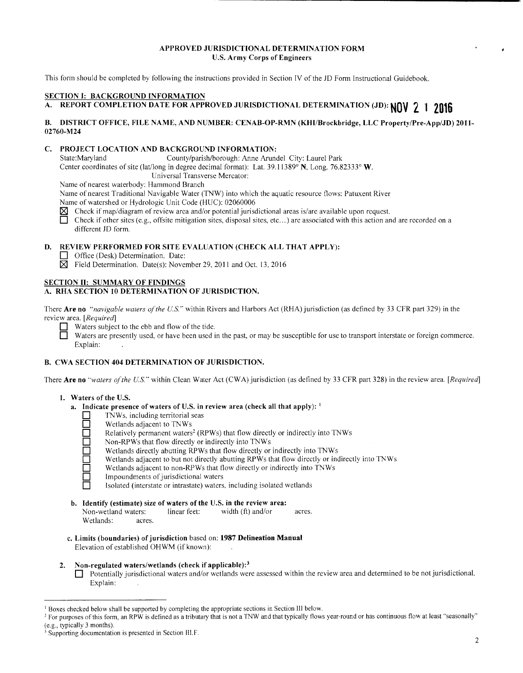## **APPROVED JURISDICTIONAL DETERMINATION FORM U.S. Army Corps of Engineers**

This form should be completed by following the instructions provided in Section fV of the JD Form Instructional Guidebook.

#### **SECTION I: BACKGROUND INFORMATION**

## **A. REPORT COMPLETION DATE FOR APPROVED JURISDICTIONAL DETERMINATION (JD): NOV 2 1 <sup>2016</sup>**

#### **B. DISTRICT OFFICE, FILE NAME, AND NUMBER: CENAB-OP-RMN (KHI/Brockbridge, LLC Property/Pre-App/JD) 20ll-02760-M24**

## **C. PROJECT LOCATION AND BACKGROUND INFORMATION:**

State:Maryland County/parish/borough: Anne Arundel City: Laurel Park

Center coordinates of site (lat/long in degree decimal format): Lat. 39.11389° **N,** Long. 76.82333° **W.** 

Universal Transverse Mercator:

Name of nearest waterbody: Hammond Branch

Name of nearest Traditional Navigable Water (TNW) into which the aquatic resource flows: Patuxent River Name of watershed or Hydrologic Unit Code (HUC): 02060006

 $\boxtimes$  Check if map/diagram of review area and/or potential jurisdictional areas is/are available upon request.<br>
Check if other sites (e.g., offsite mitigation sites, disposal sites, etc...) are associated with this action

Check if other sites (e.g., offsite mitigation sites, disposal sites, etc...) are associated with this action and are recorded on a different JD form.

#### **D. REVIEW PERFORMED FOR SITE EVALUATION (CHECK ALL THAT APPLY):**

- **D** Office (Desk) Determination. Date:
- $\boxtimes$  Field Determination. Date(s): November 29, 2011 and Oct. 13, 2016

#### **SECTION II: SUMMARY OF FINDINGS A. RHA SECTION 10 DETERMINATION OF JURISDICTION.**

There **Are no** *"navigable waters of the U.S.··* within Rivers and Harbors Act (RHA) jurisdiction (as defined by 33 CFR part 329) in the review area. *[Required]* 

**D** Waters subject to the ebb and flow of the tide.<br>Waters are presently used, or have been used i

Waters are presently used, or have been used in the past, or may be susceptible for use to transport interstate or foreign commerce. Explain:

## **B. CWA SECTION 404 DETERMINATION OF JURISDICTION.**

There **Are no** *"waters of the U.S."* within Clean Water Act (CWA) jurisdiction (as defined by 33 CFR part 328) in the review area. [Required]

## **1. Waters of the U.S.**

- **a. Indicate presence of waters of U.S. in review area (check all that apply):** <sup>1</sup>
	- TNWs, including territorial seas
	- Wetlands adjacent to TNWs
	- Relatively permanent waters<sup>2</sup> (RPWs) that flow directly or indirectly into TNWs
	- **D** Non-RPWs that flow directly or indirectly into TNWs
	- **D** Wetlands directly abutting RPWs that flow directly or indirectly into TNWs
	- Wetlands adjacent to but not directly abutting RPWs that flow directly or indirectly into TNWs
	- Wetlands adjacent to non-RPWs that flow directly or indirectly into TNWs
	- Impoundments of jurisdictional waters
		- **D** Isolated (interstate or intrastate) waters, including isolated wetlands
- **b. Identify (estimate) size of waters of the U.S. in the review area:**  Non-wetland waters: linear feet: width (ft) and/or acres. Wetlands: acres.
- c. **Limits (boundaries) of jurisdiction** based on: **1987 Delineation Manual**  Elevation of established OHWM (if known):
- **2. Non-regulated waters/wetlands (check if applicable): <sup>3</sup>** Potentially jurisdictional waters and/or wetlands were assessed within the review area and determined to be not jurisdictional. Explain:

<sup>&</sup>lt;sup>1</sup> Boxes checked below shall be supported by completing the appropriate sections in Section III below.<br><sup>2</sup> For purposes of this form, an RPW is defined as a tributary that is not a TNW and that typically flows year-round

Supporting documentation is presented in Section III.F.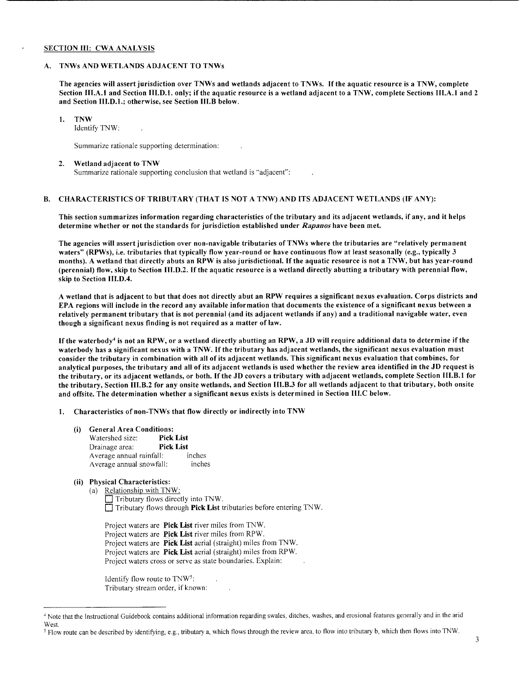#### SECTION III: CWA ANALYSIS

#### A. TNWs AND WETLANDS ADJACENT TO TNWs

The agencies will assert jurisdiction over TNWs and wetlands adjacent to TNWs. If the aquatic resource is a TNW, complete Section III.A.1 and Section III.D.1. only; if the aquatic resource is a wetland adjacent to a TNW, complete Sections III.A.1 and 2 and Section 111.D.l.; otherwise, see Section Ill.B below.

## 1. TNW

Identify TNW:

Summarize rationale supporting determination:

#### 2. Wetland adjacent to TNW

Summarize rationale supporting conclusion that wetland is "adjacent":

## B. CHARACTERISTICS OF TRIBUTARY (THAT IS NOT A TNW) AND ITS ADJACENT WETLANDS (IF ANY):

This section summarizes information regarding characteristics of the tributary and its adjacent wetlands, if any, and it helps determine whether or not the standards for jurisdiction established under *Rapanos* have been met.

The agencies will assert jurisdiction over non-navigable tributaries of TNWs where the tributaries are "relatively permanent waters" (RPWs), i.e. tributaries that typically flow year-round or have continuous flow at least seasonally (e.g., typically 3 months). A wetland that directly abuts an RPW is also jurisdictional. If the aquatic resource is not a TNW, but has year-round (perennial) flow, skip to Section Ill.D.2. If the aquatic resource is a wetland directly abutting a tributary with perennial flow, skip to Section III.D.4.

A wetland that is adjacent to but that does not directly abut an RPW requires a significant nexus evaluation. Corps districts and EPA regions will include in the record any available information that documents the existence of a significant nexus between a relatively permanent tributary that is not perennial (and its adjacent wetlands if any) and a traditional navigable water, even though a significant nexus finding is not required as a matter of law.

If the waterbody<sup>4</sup> is not an RPW, or a wetland directly abutting an RPW, a JD will require additional data to determine if the waterbody has a significant nexus with a TNW. If the tributary has adjacent wetlands, the significant nexus evaluation must consider the tributary in combination with all of its adjacent wetlands. This significant nexus evaluation that combines, for analytical purposes, the tributary and all of its adjacent wetlands is used whether the review area identified in the JD request is the tributary, or its adjacent wetlands, or both. If the JD covers a tributary with adjacent wetlands, complete Section III.B.l for the tributary, Section III.B.2 for any onsite wetlands, and Section 111.B.3 for all wetlands adjacent to that tributary, both onsite and offsite. The determination whether a significant nexus exists is determined in Section III.C below.

1. Characteristics of non-TNWs that flow directly or indirectly into TNW

- (i) General Area Conditions:
	- Watershed size: Pick List Drainage area: Pick List Average annual rainfall: inches Average annual snowfall: inches

## (ii) Physical Characteristics:

(a) Relationship with TNW: D Tributary flows directly into TNW.  $\Box$  Tributary flows through **Pick List** tributaries before entering TNW.

Project waters are Pick List river miles from TNW. Project waters are Pick List river miles from RPW. Project waters are Pick List aerial (straight) miles from TNW. Project waters are Pick List aerial (straight) miles from RPW. Project waters cross or serve as state boundaries. Explain:

Identify flow route to TNW5: Tributary stream order, if known:

<sup>&</sup>lt;sup>4</sup> Note that the Instructional Guidebook contains additional information regarding swales, ditches, washes, and erosional features generally and in the arid West.

<sup>&</sup>lt;sup>5</sup> Flow route can be described by identifying, e.g., tributary a, which flows through the review area, to flow into tributary b, which then flows into TNW.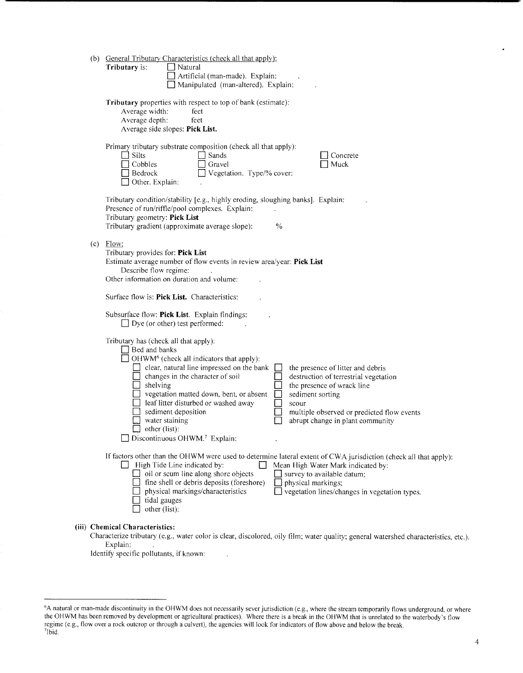| (b) General Tributary Characteristics (check all that apply):<br>Tributary is:<br>Natural<br>Artificial (man-made). Explain:<br>Manipulated (man-altered). Explain:                                                                                                                                                                                                                                                                                                                                                                                                                                                                               |
|---------------------------------------------------------------------------------------------------------------------------------------------------------------------------------------------------------------------------------------------------------------------------------------------------------------------------------------------------------------------------------------------------------------------------------------------------------------------------------------------------------------------------------------------------------------------------------------------------------------------------------------------------|
| Tributary properties with respect to top of bank (estimate):<br>Average width:<br>feet<br>Average depth:<br>feet<br>Average side slopes: Pick List.                                                                                                                                                                                                                                                                                                                                                                                                                                                                                               |
| Primary tributary substrate composition (check all that apply):<br>Silts<br>Sands<br>Concrete<br>Cobbles<br>Gravel<br>Muck<br>Vegetation. Type/% cover:<br>$\Box$ Bedrock<br>Other. Explain:                                                                                                                                                                                                                                                                                                                                                                                                                                                      |
| Tributary condition/stability [e.g., highly eroding, sloughing banks]. Explain:<br>Presence of run/riffle/pool complexes. Explain:<br>Tributary geometry: Pick List<br>Tributary gradient (approximate average slope):<br>$\frac{0}{0}$                                                                                                                                                                                                                                                                                                                                                                                                           |
| $(c)$ Flow:<br>Tributary provides for: Pick List<br>Estimate average number of flow events in review area/year: Pick List<br>Describe flow regime:<br>Other information on duration and volume:                                                                                                                                                                                                                                                                                                                                                                                                                                                   |
| Surface flow is: Pick List. Characteristics:                                                                                                                                                                                                                                                                                                                                                                                                                                                                                                                                                                                                      |
| Subsurface flow: Pick List. Explain findings:<br>$\Box$ Dye (or other) test performed:                                                                                                                                                                                                                                                                                                                                                                                                                                                                                                                                                            |
| Tributary has (check all that apply):<br>$\Box$ Bed and banks<br>$\exists$ OHWM <sup>6</sup> (check all indicators that apply):<br>clear, natural line impressed on the bank<br>the presence of litter and debris<br>changes in the character of soil<br>destruction of terrestrial vegetation<br>shelving<br>the presence of wrack line<br>vegetation matted down, bent, or absent<br>sediment sorting<br>leaf litter disturbed or washed away<br>scour<br>sediment deposition<br>multiple observed or predicted flow events<br>water staining<br>abrupt change in plant community<br>other (list):<br>Discontinuous OHWM. <sup>7</sup> Explain: |
| If factors other than the OHWM were used to determine lateral extent of CWA jurisdiction (check all that apply):<br>High Tide Line indicated by:<br>Mean High Water Mark indicated by:<br>oil or scum line along shore objects<br>$\Box$ survey to available datum;<br>fine shell or debris deposits (foreshore)<br>physical markings;<br>vegetation lines/changes in vegetation types.<br>physical markings/characteristics<br>tidal gauges<br>other (list):                                                                                                                                                                                     |
| (iii) Chemical Characteristics:                                                                                                                                                                                                                                                                                                                                                                                                                                                                                                                                                                                                                   |

## Characterize tributary (e.g., water color is clear, discolored, oily film; water quality; general watershed characteristics, etc.). Explain:

Identify specific pollutants, if known:

l.

<sup>&</sup>quot;A natural or man-made discontinuity in the OHWM does not necessarily sever jurisdiction (e.g., where the stream temporarily flows underground, or where the OHWM has been removed by development or agricultural practices). Where there is a break in the OHWM that is unrelated to the waterbody's flow regime (e.g., flow over a rock outcrop or through a culvert), the agencies will look for indicators of flow above and below the break. 7Ibid.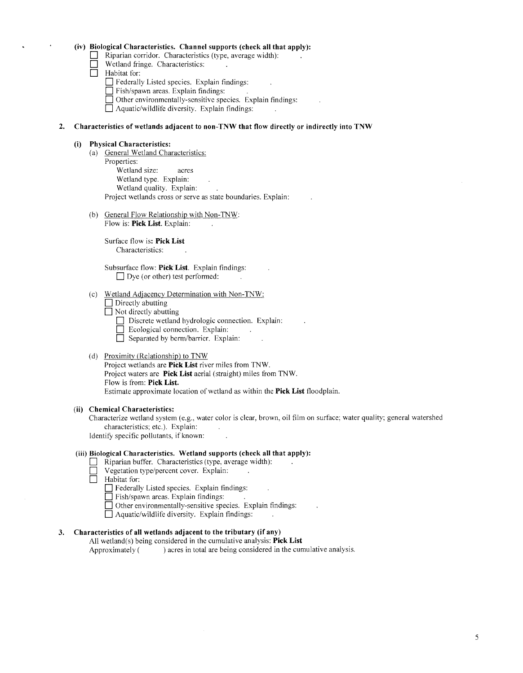## **(iv) Biological Characteristics. Channel supports (check all that apply):**

- **D** Riparian corridor. Characteristics (type, average width): .
- **D** Wetland fringe. Characteristics:
- $\Box$  Habitat for:
	- D Federally Listed species. Explain findings:
	- D Fish/spawn areas. Explain findings:
	- **D** Other environmentally-sensitive species. Explain findings:
	- D Aquatic/wildlife diversity. Explain findings:

#### **2. Characteristics of wetlands adjacent to non-TNW that flow directly or indirectly into TNW**

#### **(i) Physical Characteristics:**

- (a) General Wetland Characteristics: Properties: Wetland size: acres Wetland type. Explain: Wetland quality. Explain: Project wetlands cross or serve as state boundaries. Explain:
- (b) General Flow Relationship with Non-TNW: Flow is: **Pick List.** Explain:

Surface flow is: **Pick List**  Characteristics:

Subsurface flow: **Pick List.** Explain findings:  $\Box$  Dye (or other) test performed:

## (c) Wetland Adjacency Determination with Non-TNW:

- □ Directly abutting
- $\Box$  Not directly abutting
	- $\Box$  Discrete wetland hydrologic connection. Explain:
	- $\Box$  Ecological connection. Explain:
	- $\Box$  Separated by berm/barrier. Explain:

#### (d) Proximity (Relationship) to TNW

Project wetlands are **Pick List** river miles from TNW. Project waters are **Pick List** aerial (straight) miles from TNW. Flow is from: **Pick List.**  Estimate approximate location of wetland as within the **Pick List** floodplain.

#### **(ii) Chemical Characteristics:**

Characterize wetland system (e.g., water color is clear, brown, oil film on surface: water quality; general watershed characteristics; etc.). Explain:

Identify specific pollutants, if known:

## **(iii) Biological Characteristics. Wetland supports (check all that apply):**

- Riparian buffer. Characteristics (type, average width):
- □ **Vegetation type/percent cover.** Explain:<br>□ Habitat for:
- Habitat for:
	- **D** Federally Listed species. Explain findings:
	- $\Box$  Fish/spawn areas. Explain findings:
	- □ Other environmentally-sensitive species. Explain findings:
	- $\Box$  Aquatic/wildlife diversity. Explain findings:

## **3. Characteristics of all wetlands adjacent to the tributary (if any)**

All wetland(s) being considered in the cumulative analysis: **Pick List**  Approximately ( ) acres in total are being considered in the cumulative analysis.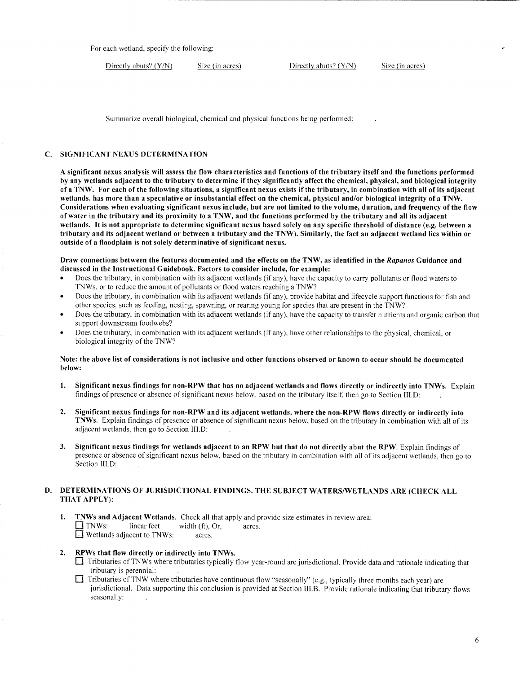For each wetland, specify the following:

Directly abuts? (Y/N) Size (in acres) Directly abuts? (Y/N) Size (in acres)

Summarize overall biological, chemical and physical functions being performed:

## C. SIGNIFICANT NEXUS DETERMINATION

A significant nexus analysis will assess the flow characteristics and functions of the tributary itself and the functions performed by any wetlands adjacent to the tributary to determine if they significantly affect the chemical, physical, and biological integrity ofa TNW. For each of the following situations, a significant nexus exists ifthe tributary, in combination with all of its adjacent wetlands, has more than a speculative or insubstantial effect on the chemical, physical and/or biological integrity of a TNW. Considerations when evaluating significant nexus include, but are not limited to the volume, duration, and frequency of the flow of water in the tributary and its proximity to a TNW, and the functions performed by the tributary and all its adjacent wetlands. It is not appropriate to determine significant nexus based solely on any specific threshold of distance (e.g. between a tributary and its adjacent wetland or between a tributary and the TNW). Similarly, the fact an adjacent wetland lies within or outside of a floodplain is not solely determinative of significant nexus.

#### Draw connections between the features documented and the effects on the TNW, as identified in the *Rapanos* Guidance and discussed in the Instructional Guidebook. Factors to consider include, for example:

- Does the tributary, in combination with its adjacent wetlands (if any), have the capacity to carry pollutants or flood waters to TNWs, or to reduce the amount of pollutants or flood waters reaching a TNW?
- Does the tributary, in combination with its adjacent wetlands (if any), provide habitat and lifecycle support functions for fish and other species, such as feeding, nesting, spawning, or rearing young for species that are present in the TNW?
- Does the tributary, in combination with its adjacent wetlands (if any), have the capacity to transfer nutrients and organic carbon that support downstream foodwebs?
- Does the tributary, in combination with its adjacent wetlands (if any), have other relationships to the physical, chemical, or biological integrity of the TNW?

#### Note: the above list of considerations is not inclusive and other functions observed or known to occur should be documented below:

- 1. Significant nexus findings for non-RPW that has no adjacent wetlands and flows directly or indirectly into TNWs. Explain findings of presence or absence of significant nexus below, based on the tributary itself, then go to Section III.D:
- 2. Significant nexus findings for non-RPW and its adjacent wetlands, where the non-RPW flows directly or indirectly into TNWs. Explain findings of presence or absence of significant nexus below, based on the tributary in combination with all of its adjacent wetlands. then go to Section III.D:
- 3. Significant nexus findings for wetlands adjacent to an RPW but that do not directly abut the RPW. Explain findings of presence or absence of significant nexus below, based on the tributary in combination with all of its adjacent wetlands, then go to Section III.D:

## D. DETERMINATIONS OF JURISDICTIONAL FINDINGS. THE SUBJECT WATERS/WETLANDS ARE (CHECK ALL THAT APPLY):

1. TNWs and Adjacent Wetlands. Check all that apply and provide size estimates in review area:<br>  $\Box$  TNWs: linear feet width (ft). Or. acres. width  $(f<sup>t</sup>)$ , Or, acres. D Wetlands adjacent to TNWs: acres.

## 2. RPWs that flow directly or indirectly into TNWs.

- D Tributaries ofTNWs where tributaries typically flow year-round are jurisdictional. Provide data and rationale indicating that tributary is perennial:
- D Tributaries ofTNW where tributaries have continuous flow "seasonally" (e.g., typically three months each year) are jurisdictional. Data supporting this conclusion is provided at Section III.B. Provide rationale indicating that tributary flows seasonally: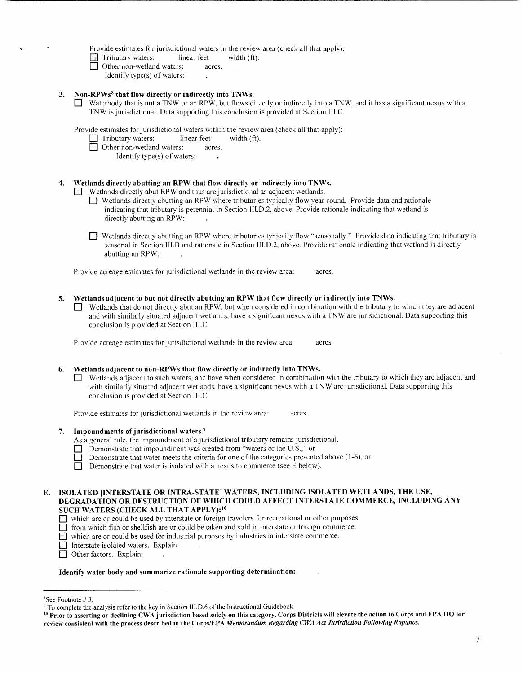Provide estimates for jurisdictional waters in the review area (check all that apply):

 $\Box$  Tributary waters: linear feet width (ft).

- Other non-wetland waters: acres.
	- Identify type(s) of waters:
- 3. Non-RPWs8 that flow directly or indirectly into TNWs.
	- D Waterbody that is not a TNW or an RPW, but flows directly or indirectly into a TNW, and it has a significant nexus with a TNW is jurisdictional. Data supporting this conclusion is provided at Section III.C.

Provide estimates for jurisdictional waters within the review area (check all that apply):

- Tributary waters: linear feet width (ft).
- Other non-wetland waters: acres.
	- Identify type(s) of waters:

## 4. Wetlands directly abutting an RPW that flow directly or indirectly into TNWs.

- D Wetlands directly abut RPW and thus are jurisdictional as adjacent wetlands.
	- D Wetlands directly abutting an RPW where tributaries typically flow year-round. Provide data and rationale indicating that tributary is perennial in Section Ill.D.2, above. Provide rationale indicating that wetland is directly abutting an RPW:
	- $\Box$  Wetlands directly abutting an RPW where tributaries typically flow "seasonally." Provide data indicating that tributary is seasonal in Section III.B and rationale in Section III.D.2, above. Provide rationale indicating that wetland is directly abutting an RPW:

Provide acreage estimates for jurisdictional wetlands in the review area: acres.

- 5. Wetlands adjacent to but not directly abutting an RPW that flow directly or indirectly into TNWs.
	- D Wetlands that do not directly abut an RPW, but when considered in combination with the tributary to which they are adjacent and with similarly situated adjacent wetlands, have a significant nexus with a TNW are jurisidictional. Data supporting this conclusion is provided at Section III.C.

Provide acreage estimates for jurisdictional wetlands in the review area: acres.

## 6. Wetlands adjacent to non-RPWs that flow directly or indirectly into TNWs.

D Wetlands adjacent to such waters, and have when considered in combination with the tributary to which they are adjacent and with similarly situated adjacent wetlands, have a significant nexus with a TNW are jurisdictional. Data supporting this conclusion is provided at Section Ill.C.

Provide estimates for jurisdictional wetlands in the review area: acres.

7. Impoundments of jurisdictional waters.9

As a general rule, the impoundment of a jurisdictional tributary remains jurisdictional.

- Demonstrate that impoundment was created from "waters of the U.S.," or
- Demonstrate that water meets the criteria for one of the categories presented above (1-6), or Demonstrate that water is isolated with a nexus to commerce (see E below).
	- Demonstrate that water is isolated with a nexus to commerce (see E below).

## E. ISOLATED [INTERSTATE OR INTRA-STATE] WATERS, INCLUDING ISOLATED WETLANDS, THE USE, DEGRADATION OR DESTRUCTION OF WHICH COULD AFFECT INTERSTATE COMMERCE, INCLUDING ANY SUCH WATERS (CHECK ALL THAT APPLY): <sup>10</sup>

- D which are or could be used by interstate or foreign travelers for recreational or other purposes.
- D from which fish or shellfish are or could be taken and sold in interstate or foreign commerce.
- D which are or could be used for industrial purposes by industries in interstate commerce.
- Interstate isolated waters. Explain:
- Other factors. Explain:

#### Identify water body and summarize rationale supporting determination:

<sup>&</sup>lt;sup>8</sup>See Footnote #3.

<sup>&</sup>lt;sup>9</sup> To complete the analysis refer to the key in Section 111.D.6 of the Instructional Guidebook.<br><sup>10</sup> Prior to asserting or declining CWA jurisdiction based solely on this category, Corps Districts will elevate the action review consistent with the process described in the Corps/EPA *Memorandum Regarding CWA Act Jurisdiction Following Rapanos.*